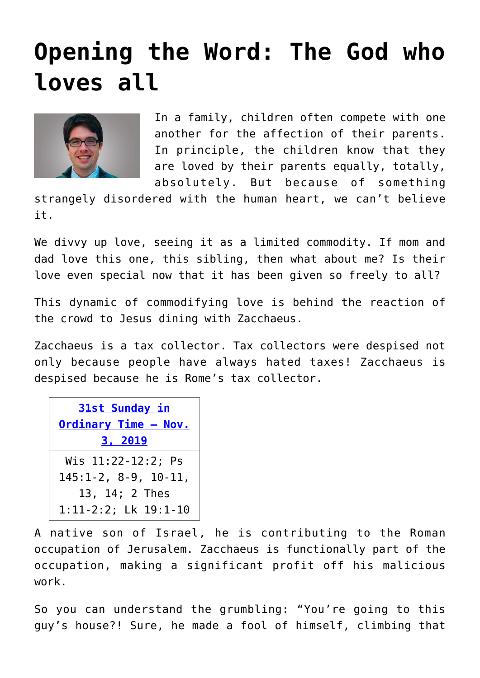## **[Opening the Word: The God who](https://www.osvnews.com/2019/10/28/the-god-who-loves-all/) [loves all](https://www.osvnews.com/2019/10/28/the-god-who-loves-all/)**



In a family, children often compete with one another for the affection of their parents. In principle, the children know that they are loved by their parents equally, totally, absolutely. But because of something

strangely disordered with the human heart, we can't believe it.

We divvy up love, seeing it as a limited commodity. If mom and dad love this one, this sibling, then what about me? Is their love even special now that it has been given so freely to all?

This dynamic of commodifying love is behind the reaction of the crowd to Jesus dining with Zacchaeus.

Zacchaeus is a tax collector. Tax collectors were despised not only because people have always hated taxes! Zacchaeus is despised because he is Rome's tax collector.

| <b>31st Sunday in</b>     |
|---------------------------|
| Ordinary Time - Nov.      |
| 3, 2019                   |
| Wis 11:22-12:2; Ps        |
| $145:1-2, 8-9, 10-11,$    |
| 13, 14; 2 Thes            |
| $1:11-2:2$ ; Lk $19:1-10$ |

A native son of Israel, he is contributing to the Roman occupation of Jerusalem. Zacchaeus is functionally part of the occupation, making a significant profit off his malicious work.

So you can understand the grumbling: "You're going to this guy's house?! Sure, he made a fool of himself, climbing that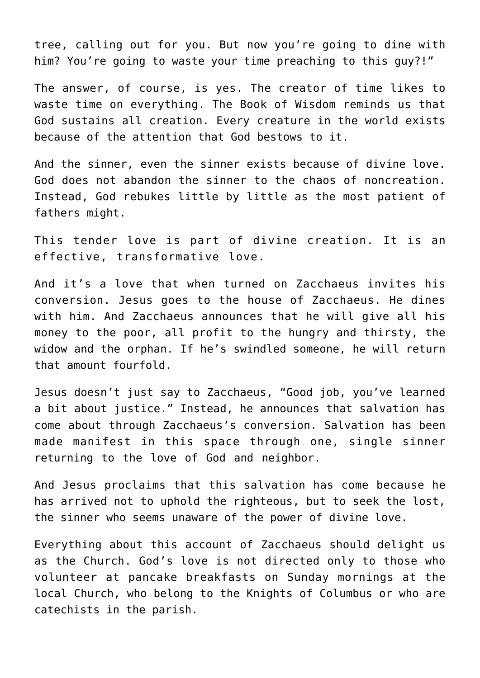tree, calling out for you. But now you're going to dine with him? You're going to waste your time preaching to this guy?!"

The answer, of course, is yes. The creator of time likes to waste time on everything. The Book of Wisdom reminds us that God sustains all creation. Every creature in the world exists because of the attention that God bestows to it.

And the sinner, even the sinner exists because of divine love. God does not abandon the sinner to the chaos of noncreation. Instead, God rebukes little by little as the most patient of fathers might.

This tender love is part of divine creation. It is an effective, transformative love.

And it's a love that when turned on Zacchaeus invites his conversion. Jesus goes to the house of Zacchaeus. He dines with him. And Zacchaeus announces that he will give all his money to the poor, all profit to the hungry and thirsty, the widow and the orphan. If he's swindled someone, he will return that amount fourfold.

Jesus doesn't just say to Zacchaeus, "Good job, you've learned a bit about justice." Instead, he announces that salvation has come about through Zacchaeus's conversion. Salvation has been made manifest in this space through one, single sinner returning to the love of God and neighbor.

And Jesus proclaims that this salvation has come because he has arrived not to uphold the righteous, but to seek the lost, the sinner who seems unaware of the power of divine love.

Everything about this account of Zacchaeus should delight us as the Church. God's love is not directed only to those who volunteer at pancake breakfasts on Sunday mornings at the local Church, who belong to the Knights of Columbus or who are catechists in the parish.